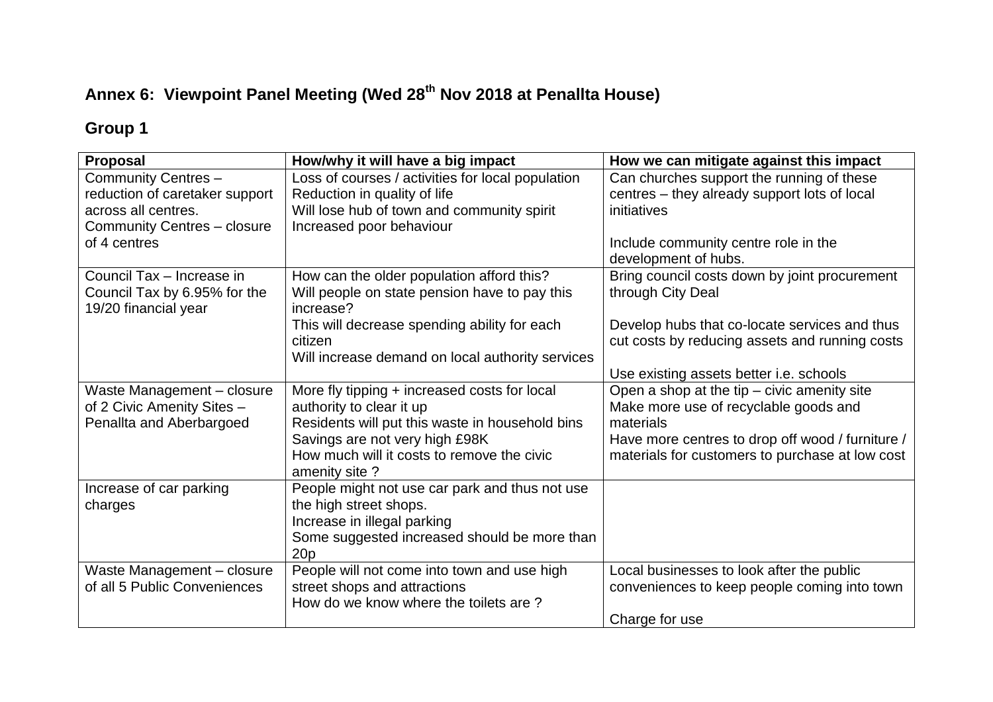# **Annex 6: Viewpoint Panel Meeting (Wed 28th Nov 2018 at Penallta House)**

# **Group 1**

| <b>Proposal</b>                                                               | How/why it will have a big impact                           | How we can mitigate against this impact          |
|-------------------------------------------------------------------------------|-------------------------------------------------------------|--------------------------------------------------|
| Community Centres -                                                           | Loss of courses / activities for local population           | Can churches support the running of these        |
| reduction of caretaker support                                                | Reduction in quality of life                                | centres - they already support lots of local     |
| across all centres.<br>Will lose hub of town and community spirit             |                                                             | initiatives                                      |
| <b>Community Centres - closure</b>                                            | Increased poor behaviour                                    |                                                  |
| of 4 centres                                                                  |                                                             | Include community centre role in the             |
|                                                                               |                                                             | development of hubs.                             |
| Council Tax - Increase in                                                     | How can the older population afford this?                   | Bring council costs down by joint procurement    |
| Council Tax by 6.95% for the<br>Will people on state pension have to pay this |                                                             | through City Deal                                |
| 19/20 financial year                                                          | increase?                                                   |                                                  |
|                                                                               | This will decrease spending ability for each                | Develop hubs that co-locate services and thus    |
|                                                                               | citizen                                                     | cut costs by reducing assets and running costs   |
|                                                                               | Will increase demand on local authority services            |                                                  |
|                                                                               |                                                             | Use existing assets better i.e. schools          |
| Waste Management - closure                                                    | More fly tipping + increased costs for local                | Open a shop at the tip - civic amenity site      |
| of 2 Civic Amenity Sites -                                                    | authority to clear it up                                    | Make more use of recyclable goods and            |
| Penallta and Aberbargoed<br>Residents will put this waste in household bins   |                                                             | materials                                        |
| Savings are not very high £98K                                                |                                                             | Have more centres to drop off wood / furniture / |
|                                                                               | How much will it costs to remove the civic<br>amenity site? | materials for customers to purchase at low cost  |
| Increase of car parking                                                       | People might not use car park and thus not use              |                                                  |
| charges                                                                       | the high street shops.                                      |                                                  |
|                                                                               | Increase in illegal parking                                 |                                                  |
|                                                                               | Some suggested increased should be more than                |                                                  |
|                                                                               | 20 <sub>p</sub>                                             |                                                  |
| Waste Management - closure                                                    | People will not come into town and use high                 | Local businesses to look after the public        |
| of all 5 Public Conveniences                                                  | street shops and attractions                                | conveniences to keep people coming into town     |
|                                                                               | How do we know where the toilets are?                       |                                                  |
|                                                                               |                                                             | Charge for use                                   |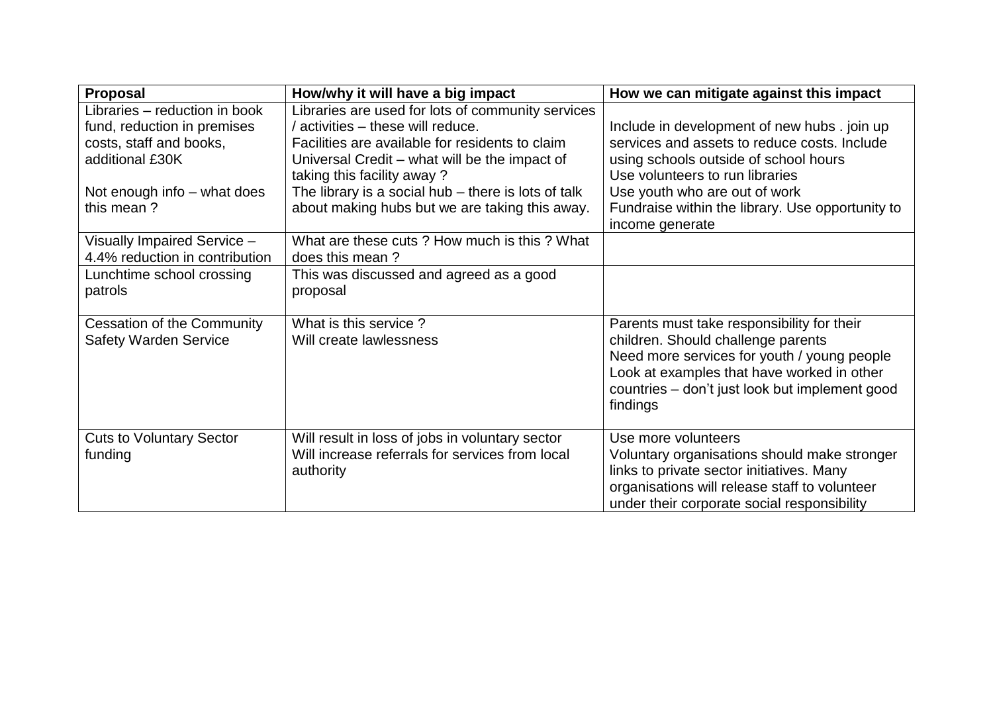| <b>Proposal</b><br>How/why it will have a big impact                                                                                                    |                                                                                                                                                                                                                                                                                                                                     | How we can mitigate against this impact                                                                                                                                                                                                                                          |  |
|---------------------------------------------------------------------------------------------------------------------------------------------------------|-------------------------------------------------------------------------------------------------------------------------------------------------------------------------------------------------------------------------------------------------------------------------------------------------------------------------------------|----------------------------------------------------------------------------------------------------------------------------------------------------------------------------------------------------------------------------------------------------------------------------------|--|
| Libraries - reduction in book<br>fund, reduction in premises<br>costs, staff and books,<br>additional £30K<br>Not enough info – what does<br>this mean? | Libraries are used for lots of community services<br>/ activities – these will reduce.<br>Facilities are available for residents to claim<br>Universal Credit – what will be the impact of<br>taking this facility away?<br>The library is a social hub $-$ there is lots of talk<br>about making hubs but we are taking this away. | Include in development of new hubs . join up<br>services and assets to reduce costs. Include<br>using schools outside of school hours<br>Use volunteers to run libraries<br>Use youth who are out of work<br>Fundraise within the library. Use opportunity to<br>income generate |  |
| Visually Impaired Service -<br>4.4% reduction in contribution                                                                                           | What are these cuts? How much is this? What<br>does this mean?                                                                                                                                                                                                                                                                      |                                                                                                                                                                                                                                                                                  |  |
| Lunchtime school crossing<br>patrols                                                                                                                    | This was discussed and agreed as a good<br>proposal                                                                                                                                                                                                                                                                                 |                                                                                                                                                                                                                                                                                  |  |
| <b>Cessation of the Community</b><br><b>Safety Warden Service</b>                                                                                       | What is this service?<br>Will create lawlessness                                                                                                                                                                                                                                                                                    | Parents must take responsibility for their<br>children. Should challenge parents<br>Need more services for youth / young people<br>Look at examples that have worked in other<br>countries – don't just look but implement good<br>findings                                      |  |
| <b>Cuts to Voluntary Sector</b><br>funding                                                                                                              | Will result in loss of jobs in voluntary sector<br>Will increase referrals for services from local<br>authority                                                                                                                                                                                                                     | Use more volunteers<br>Voluntary organisations should make stronger<br>links to private sector initiatives. Many<br>organisations will release staff to volunteer<br>under their corporate social responsibility                                                                 |  |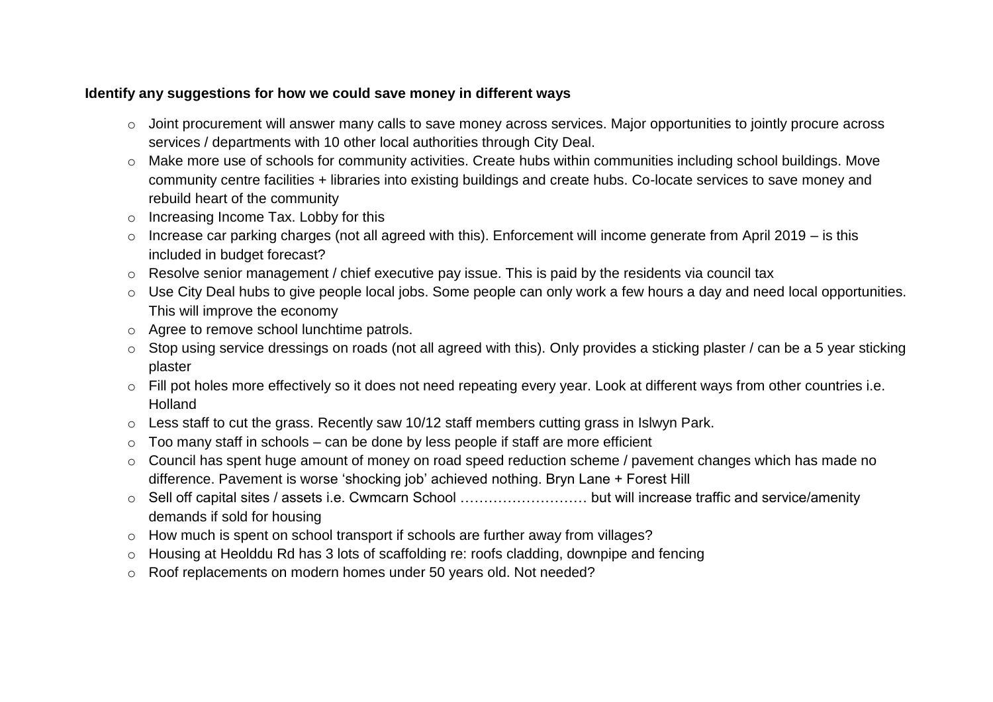## **Identify any suggestions for how we could save money in different ways**

- o Joint procurement will answer many calls to save money across services. Major opportunities to jointly procure across services / departments with 10 other local authorities through City Deal.
- o Make more use of schools for community activities. Create hubs within communities including school buildings. Move community centre facilities + libraries into existing buildings and create hubs. Co-locate services to save money and rebuild heart of the community
- o Increasing Income Tax. Lobby for this
- o Increase car parking charges (not all agreed with this). Enforcement will income generate from April 2019 is this included in budget forecast?
- o Resolve senior management / chief executive pay issue. This is paid by the residents via council tax
- o Use City Deal hubs to give people local jobs. Some people can only work a few hours a day and need local opportunities. This will improve the economy
- o Agree to remove school lunchtime patrols.
- o Stop using service dressings on roads (not all agreed with this). Only provides a sticking plaster / can be a 5 year sticking plaster
- o Fill pot holes more effectively so it does not need repeating every year. Look at different ways from other countries i.e. Holland
- o Less staff to cut the grass. Recently saw 10/12 staff members cutting grass in Islwyn Park.
- $\circ$  Too many staff in schools can be done by less people if staff are more efficient
- o Council has spent huge amount of money on road speed reduction scheme / pavement changes which has made no difference. Pavement is worse 'shocking job' achieved nothing. Bryn Lane + Forest Hill
- o Sell off capital sites / assets i.e. Cwmcarn School ……………………… but will increase traffic and service/amenity demands if sold for housing
- o How much is spent on school transport if schools are further away from villages?
- o Housing at Heolddu Rd has 3 lots of scaffolding re: roofs cladding, downpipe and fencing
- o Roof replacements on modern homes under 50 years old. Not needed?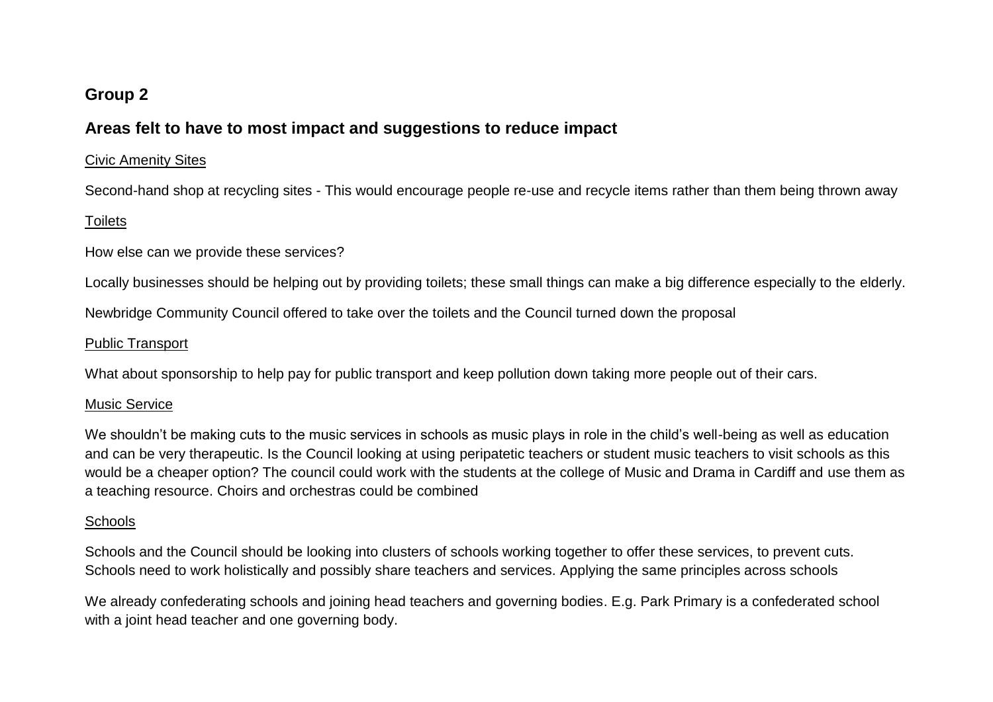# **Group 2**

## **Areas felt to have to most impact and suggestions to reduce impact**

#### Civic Amenity Sites

Second-hand shop at recycling sites - This would encourage people re-use and recycle items rather than them being thrown away

### **Toilets**

How else can we provide these services?

Locally businesses should be helping out by providing toilets; these small things can make a big difference especially to the elderly.

Newbridge Community Council offered to take over the toilets and the Council turned down the proposal

#### Public Transport

What about sponsorship to help pay for public transport and keep pollution down taking more people out of their cars.

### Music Service

We shouldn't be making cuts to the music services in schools as music plays in role in the child's well-being as well as education and can be very therapeutic. Is the Council looking at using peripatetic teachers or student music teachers to visit schools as this would be a cheaper option? The council could work with the students at the college of Music and Drama in Cardiff and use them as a teaching resource. Choirs and orchestras could be combined

### **Schools**

Schools and the Council should be looking into clusters of schools working together to offer these services, to prevent cuts. Schools need to work holistically and possibly share teachers and services. Applying the same principles across schools

We already confederating schools and joining head teachers and governing bodies. E.g. Park Primary is a confederated school with a joint head teacher and one governing body.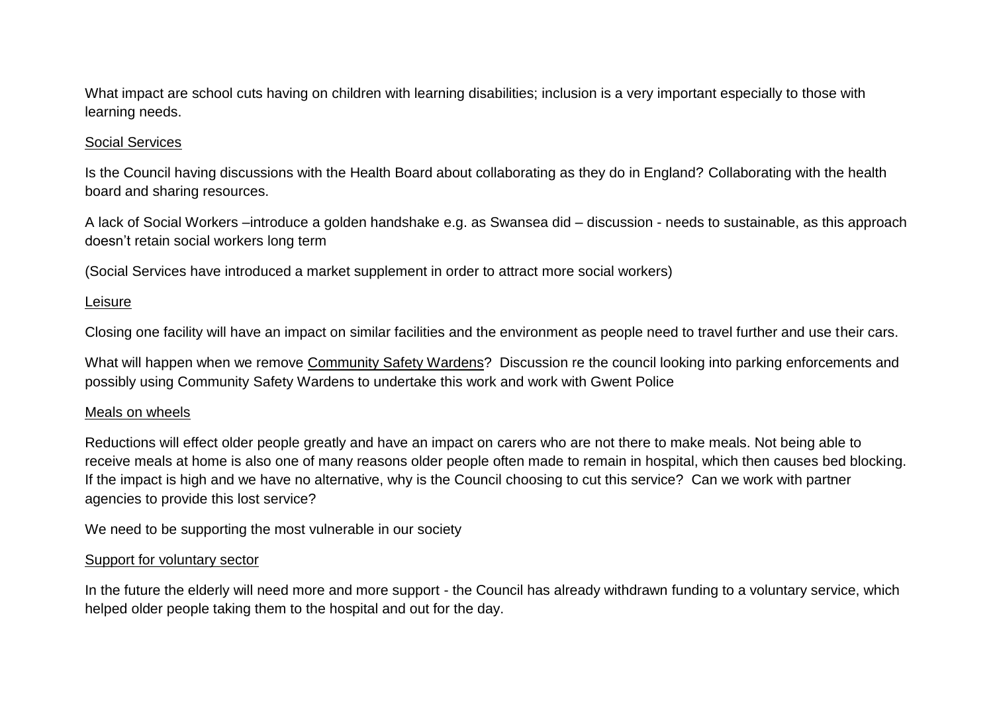What impact are school cuts having on children with learning disabilities; inclusion is a very important especially to those with learning needs.

### Social Services

Is the Council having discussions with the Health Board about collaborating as they do in England? Collaborating with the health board and sharing resources.

A lack of Social Workers –introduce a golden handshake e.g. as Swansea did – discussion - needs to sustainable, as this approach doesn't retain social workers long term

(Social Services have introduced a market supplement in order to attract more social workers)

### Leisure

Closing one facility will have an impact on similar facilities and the environment as people need to travel further and use their cars.

What will happen when we remove Community Safety Wardens? Discussion re the council looking into parking enforcements and possibly using Community Safety Wardens to undertake this work and work with Gwent Police

#### Meals on wheels

Reductions will effect older people greatly and have an impact on carers who are not there to make meals. Not being able to receive meals at home is also one of many reasons older people often made to remain in hospital, which then causes bed blocking. If the impact is high and we have no alternative, why is the Council choosing to cut this service? Can we work with partner agencies to provide this lost service?

We need to be supporting the most vulnerable in our society

#### Support for voluntary sector

In the future the elderly will need more and more support - the Council has already withdrawn funding to a voluntary service, which helped older people taking them to the hospital and out for the day.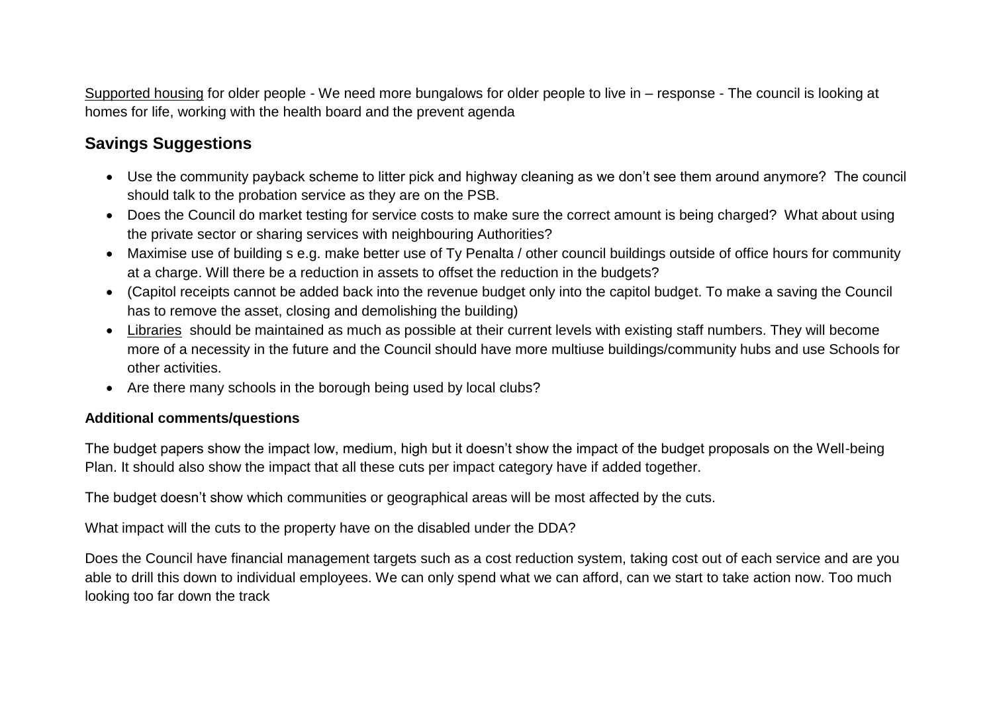Supported housing for older people - We need more bungalows for older people to live in – response - The council is looking at homes for life, working with the health board and the prevent agenda

# **Savings Suggestions**

- Use the community payback scheme to litter pick and highway cleaning as we don't see them around anymore? The council should talk to the probation service as they are on the PSB.
- Does the Council do market testing for service costs to make sure the correct amount is being charged? What about using the private sector or sharing services with neighbouring Authorities?
- Maximise use of building s e.g. make better use of Ty Penalta / other council buildings outside of office hours for community at a charge. Will there be a reduction in assets to offset the reduction in the budgets?
- (Capitol receipts cannot be added back into the revenue budget only into the capitol budget. To make a saving the Council has to remove the asset, closing and demolishing the building)
- Libraries should be maintained as much as possible at their current levels with existing staff numbers. They will become more of a necessity in the future and the Council should have more multiuse buildings/community hubs and use Schools for other activities.
- Are there many schools in the borough being used by local clubs?

### **Additional comments/questions**

The budget papers show the impact low, medium, high but it doesn't show the impact of the budget proposals on the Well-being Plan. It should also show the impact that all these cuts per impact category have if added together.

The budget doesn't show which communities or geographical areas will be most affected by the cuts.

What impact will the cuts to the property have on the disabled under the DDA?

Does the Council have financial management targets such as a cost reduction system, taking cost out of each service and are you able to drill this down to individual employees. We can only spend what we can afford, can we start to take action now. Too much looking too far down the track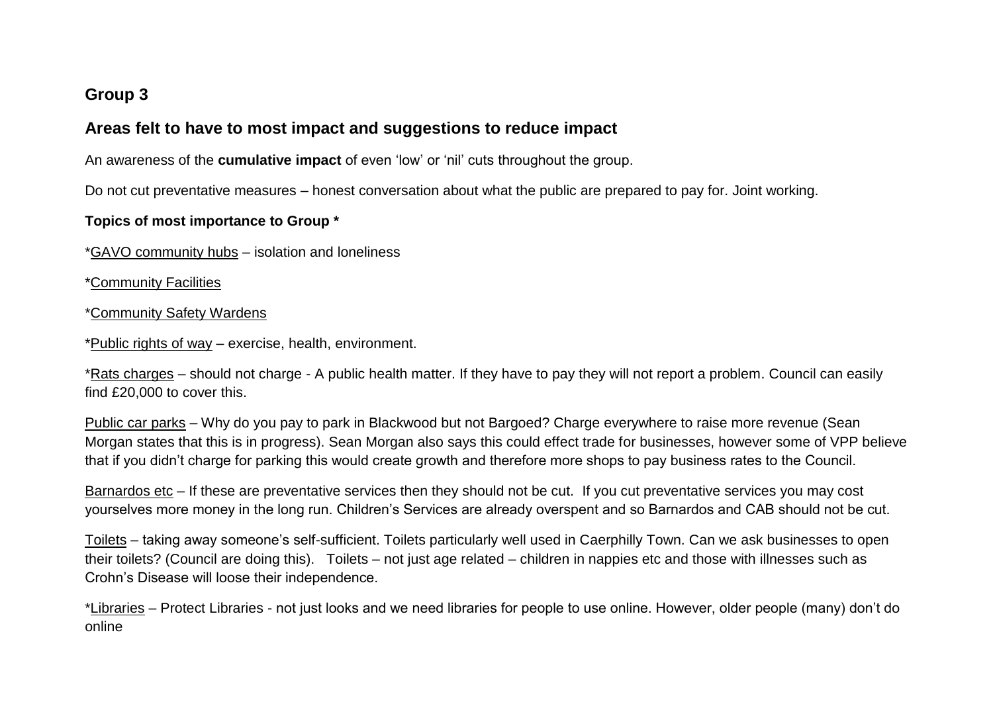# **Group 3**

# **Areas felt to have to most impact and suggestions to reduce impact**

An awareness of the **cumulative impact** of even 'low' or 'nil' cuts throughout the group.

Do not cut preventative measures – honest conversation about what the public are prepared to pay for. Joint working.

## **Topics of most importance to Group \***

\*GAVO community hubs – isolation and loneliness

\*Community Facilities

#### \*Community Safety Wardens

\*Public rights of way – exercise, health, environment.

\*Rats charges – should not charge - A public health matter. If they have to pay they will not report a problem. Council can easily find £20,000 to cover this.

Public car parks – Why do you pay to park in Blackwood but not Bargoed? Charge everywhere to raise more revenue (Sean Morgan states that this is in progress). Sean Morgan also says this could effect trade for businesses, however some of VPP believe that if you didn't charge for parking this would create growth and therefore more shops to pay business rates to the Council.

Barnardos etc – If these are preventative services then they should not be cut. If you cut preventative services you may cost yourselves more money in the long run. Children's Services are already overspent and so Barnardos and CAB should not be cut.

Toilets – taking away someone's self-sufficient. Toilets particularly well used in Caerphilly Town. Can we ask businesses to open their toilets? (Council are doing this). Toilets – not just age related – children in nappies etc and those with illnesses such as Crohn's Disease will loose their independence.

\*Libraries – Protect Libraries - not just looks and we need libraries for people to use online. However, older people (many) don't do online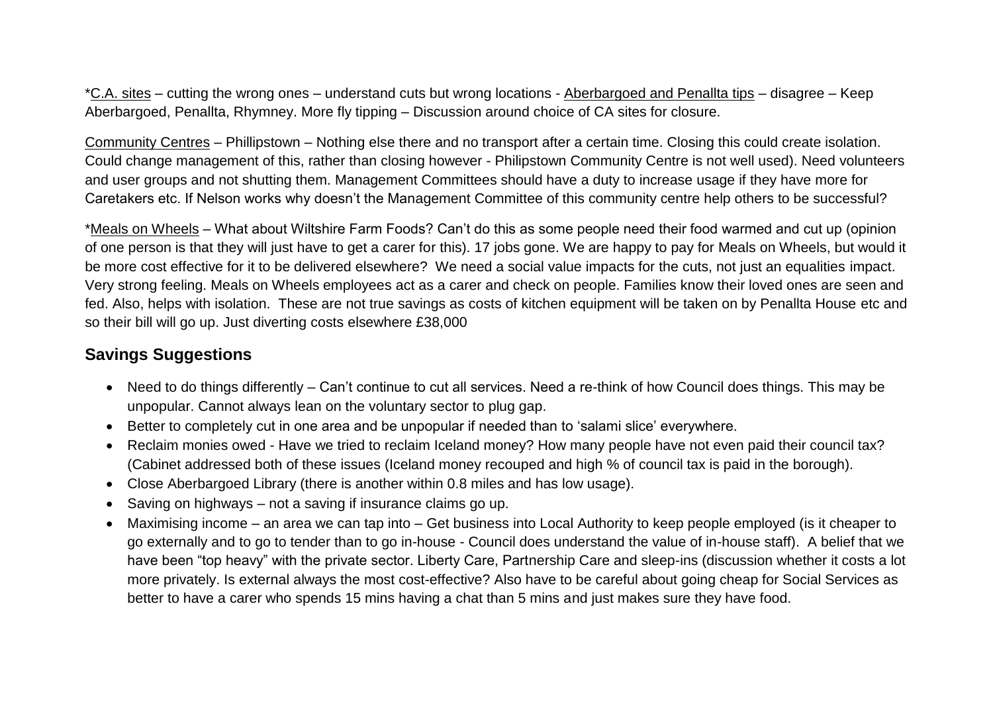\*C.A. sites – cutting the wrong ones – understand cuts but wrong locations - Aberbargoed and Penallta tips – disagree – Keep Aberbargoed, Penallta, Rhymney. More fly tipping – Discussion around choice of CA sites for closure.

Community Centres – Phillipstown – Nothing else there and no transport after a certain time. Closing this could create isolation. Could change management of this, rather than closing however - Philipstown Community Centre is not well used). Need volunteers and user groups and not shutting them. Management Committees should have a duty to increase usage if they have more for Caretakers etc. If Nelson works why doesn't the Management Committee of this community centre help others to be successful?

\*Meals on Wheels – What about Wiltshire Farm Foods? Can't do this as some people need their food warmed and cut up (opinion of one person is that they will just have to get a carer for this). 17 jobs gone. We are happy to pay for Meals on Wheels, but would it be more cost effective for it to be delivered elsewhere? We need a social value impacts for the cuts, not just an equalities impact. Very strong feeling. Meals on Wheels employees act as a carer and check on people. Families know their loved ones are seen and fed. Also, helps with isolation. These are not true savings as costs of kitchen equipment will be taken on by Penallta House etc and so their bill will go up. Just diverting costs elsewhere £38,000

# **Savings Suggestions**

- Need to do things differently Can't continue to cut all services. Need a re-think of how Council does things. This may be unpopular. Cannot always lean on the voluntary sector to plug gap.
- Better to completely cut in one area and be unpopular if needed than to 'salami slice' everywhere.
- Reclaim monies owed Have we tried to reclaim Iceland money? How many people have not even paid their council tax? (Cabinet addressed both of these issues (Iceland money recouped and high % of council tax is paid in the borough).
- Close Aberbargoed Library (there is another within 0.8 miles and has low usage).
- Saving on highways not a saving if insurance claims go up.
- Maximising income an area we can tap into Get business into Local Authority to keep people employed (is it cheaper to go externally and to go to tender than to go in-house - Council does understand the value of in-house staff). A belief that we have been "top heavy" with the private sector. Liberty Care, Partnership Care and sleep-ins (discussion whether it costs a lot more privately. Is external always the most cost-effective? Also have to be careful about going cheap for Social Services as better to have a carer who spends 15 mins having a chat than 5 mins and just makes sure they have food.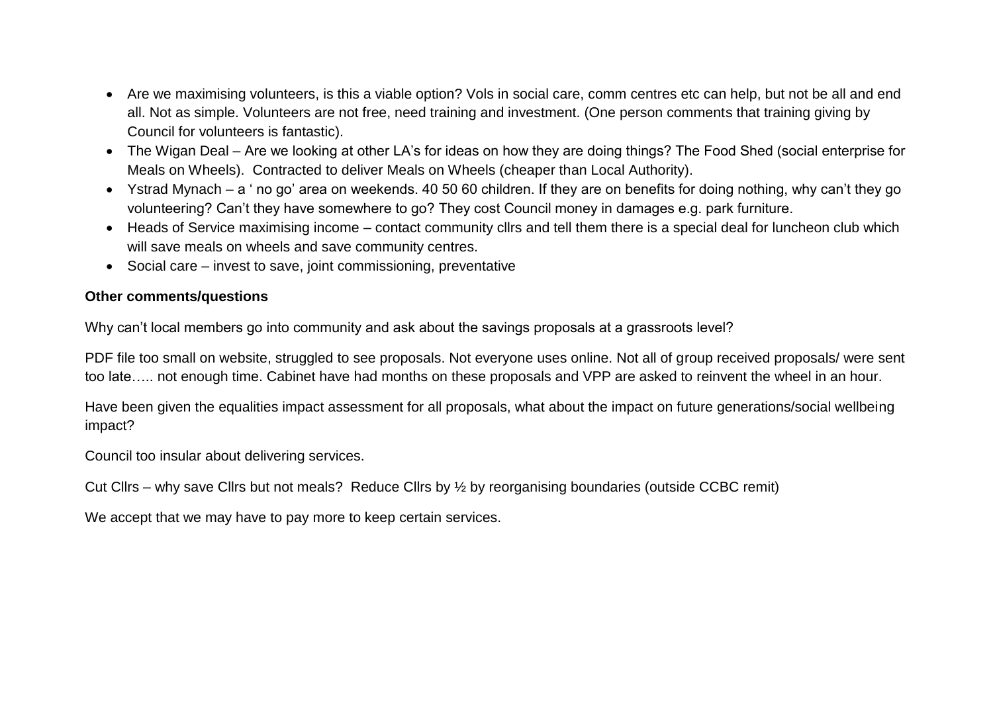- Are we maximising volunteers, is this a viable option? Vols in social care, comm centres etc can help, but not be all and end all. Not as simple. Volunteers are not free, need training and investment. (One person comments that training giving by Council for volunteers is fantastic).
- The Wigan Deal Are we looking at other LA's for ideas on how they are doing things? The Food Shed (social enterprise for Meals on Wheels). Contracted to deliver Meals on Wheels (cheaper than Local Authority).
- Ystrad Mynach a ' no go' area on weekends. 40 50 60 children. If they are on benefits for doing nothing, why can't they go volunteering? Can't they have somewhere to go? They cost Council money in damages e.g. park furniture.
- Heads of Service maximising income contact community cllrs and tell them there is a special deal for luncheon club which will save meals on wheels and save community centres.
- Social care invest to save, joint commissioning, preventative

## **Other comments/questions**

Why can't local members go into community and ask about the savings proposals at a grassroots level?

PDF file too small on website, struggled to see proposals. Not everyone uses online. Not all of group received proposals/ were sent too late….. not enough time. Cabinet have had months on these proposals and VPP are asked to reinvent the wheel in an hour.

Have been given the equalities impact assessment for all proposals, what about the impact on future generations/social wellbeing impact?

Council too insular about delivering services.

Cut Cllrs – why save Cllrs but not meals? Reduce Cllrs by ½ by reorganising boundaries (outside CCBC remit)

We accept that we may have to pay more to keep certain services.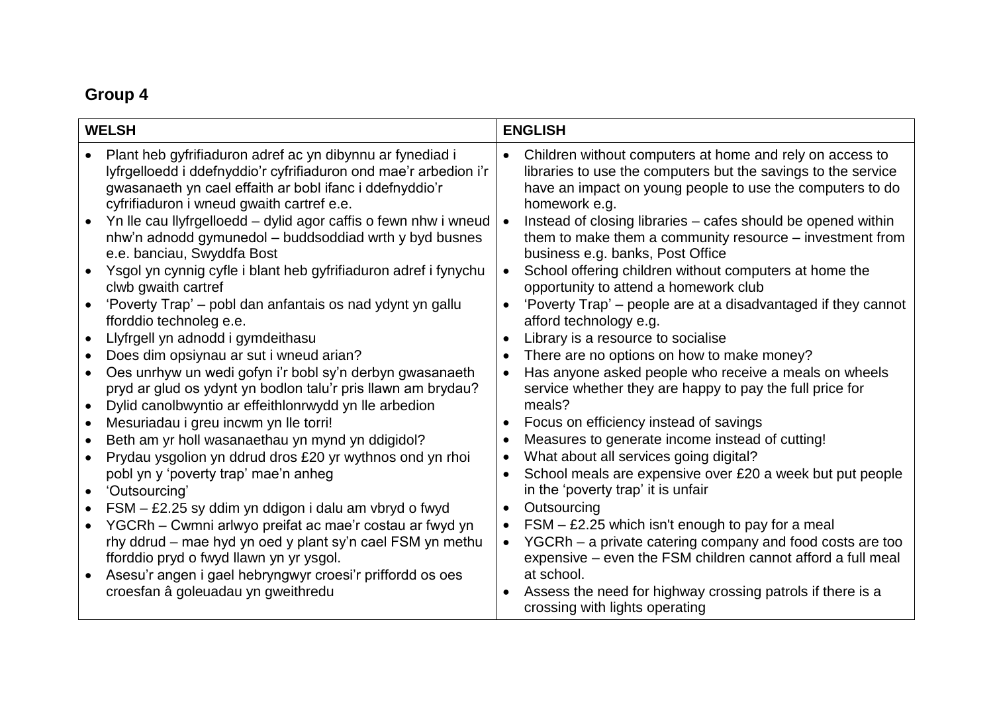# **Group 4**

| <b>WELSH</b> |                                                                                                                                                                                                                                       | <b>ENGLISH</b> |                                                                                                                                                                                                         |
|--------------|---------------------------------------------------------------------------------------------------------------------------------------------------------------------------------------------------------------------------------------|----------------|---------------------------------------------------------------------------------------------------------------------------------------------------------------------------------------------------------|
|              | Plant heb gyfrifiaduron adref ac yn dibynnu ar fynediad i<br>lyfrgelloedd i ddefnyddio'r cyfrifiaduron ond mae'r arbedion i'r<br>gwasanaeth yn cael effaith ar bobl ifanc i ddefnyddio'r<br>cyfrifiaduron i wneud gwaith cartref e.e. | $\bullet$      | Children without computers at home and rely on access to<br>libraries to use the computers but the savings to the service<br>have an impact on young people to use the computers to do<br>homework e.g. |
| $\bullet$    | Yn lle cau llyfrgelloedd – dylid agor caffis o fewn nhw i wneud<br>nhw'n adnodd gymunedol - buddsoddiad wrth y byd busnes<br>e.e. banciau, Swyddfa Bost                                                                               | $\bullet$      | Instead of closing libraries – cafes should be opened within<br>them to make them a community resource – investment from<br>business e.g. banks, Post Office                                            |
|              | Ysgol yn cynnig cyfle i blant heb gyfrifiaduron adref i fynychu<br>clwb gwaith cartref                                                                                                                                                | $\bullet$      | School offering children without computers at home the<br>opportunity to attend a homework club                                                                                                         |
|              | 'Poverty Trap' – pobl dan anfantais os nad ydynt yn gallu<br>fforddio technoleg e.e.                                                                                                                                                  | $\bullet$      | 'Poverty Trap' – people are at a disadvantaged if they cannot<br>afford technology e.g.                                                                                                                 |
| $\bullet$    | Llyfrgell yn adnodd i gymdeithasu                                                                                                                                                                                                     |                | Library is a resource to socialise                                                                                                                                                                      |
|              | Does dim opsiynau ar sut i wneud arian?                                                                                                                                                                                               | $\bullet$      | There are no options on how to make money?                                                                                                                                                              |
| $\bullet$    | Oes unrhyw un wedi gofyn i'r bobl sy'n derbyn gwasanaeth<br>pryd ar glud os ydynt yn bodlon talu'r pris llawn am brydau?<br>Dylid canolbwyntio ar effeithlonrwydd yn lle arbedion                                                     |                | Has anyone asked people who receive a meals on wheels<br>service whether they are happy to pay the full price for<br>meals?                                                                             |
| $\bullet$    | Mesuriadau i greu incwm yn lle torri!                                                                                                                                                                                                 | $\bullet$      | Focus on efficiency instead of savings                                                                                                                                                                  |
| $\bullet$    | Beth am yr holl wasanaethau yn mynd yn ddigidol?                                                                                                                                                                                      |                | Measures to generate income instead of cutting!                                                                                                                                                         |
|              | Prydau ysgolion yn ddrud dros £20 yr wythnos ond yn rhoi                                                                                                                                                                              |                | What about all services going digital?                                                                                                                                                                  |
| $\bullet$    | pobl yn y 'poverty trap' mae'n anheg<br>'Outsourcing'                                                                                                                                                                                 | ٠              | School meals are expensive over £20 a week but put people<br>in the 'poverty trap' it is unfair                                                                                                         |
| $\bullet$    | FSM - £2.25 sy ddim yn ddigon i dalu am vbryd o fwyd                                                                                                                                                                                  | $\bullet$      | Outsourcing                                                                                                                                                                                             |
| $\bullet$    | YGCRh - Cwmni arlwyo preifat ac mae'r costau ar fwyd yn<br>rhy ddrud – mae hyd yn oed y plant sy'n cael FSM yn methu<br>fforddio pryd o fwyd llawn yn yr ysgol.<br>Asesu'r angen i gael hebryngwyr croesi'r priffordd os oes          | $\bullet$      | $FSM - E2.25$ which isn't enough to pay for a meal<br>YGCRh - a private catering company and food costs are too<br>expensive – even the FSM children cannot afford a full meal<br>at school.            |
|              | croesfan â goleuadau yn gweithredu                                                                                                                                                                                                    |                | Assess the need for highway crossing patrols if there is a<br>crossing with lights operating                                                                                                            |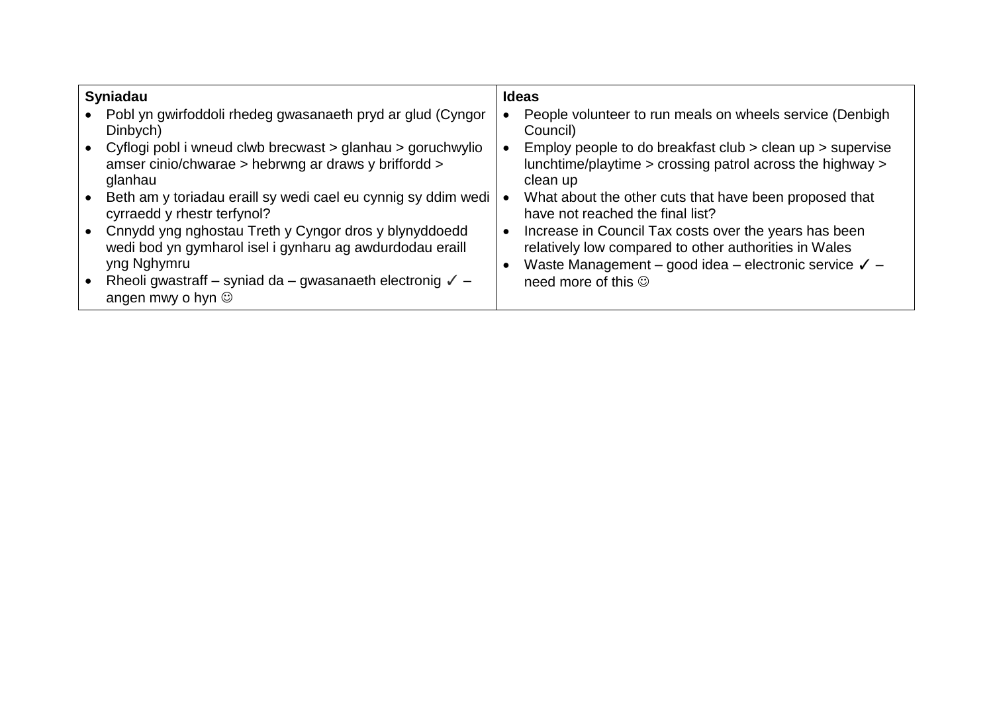| <b>Syniadau</b> |                                                                                                                                  | <b>Ideas</b> |                                                                                                                                                                                    |  |
|-----------------|----------------------------------------------------------------------------------------------------------------------------------|--------------|------------------------------------------------------------------------------------------------------------------------------------------------------------------------------------|--|
|                 | Pobl yn gwirfoddoli rhedeg gwasanaeth pryd ar glud (Cyngor<br>Dinbych)                                                           |              | People volunteer to run meals on wheels service (Denbigh<br>Council)                                                                                                               |  |
| $\bullet$       | Cyflogi pobl i wneud clwb brecwast > glanhau > goruchwylio<br>amser cinio/chwarae > hebrwng ar draws y briffordd ><br>glanhau    |              | Employ people to do breakfast club > clean up > supervise<br>lunchtime/playtime > crossing patrol across the highway ><br>clean up                                                 |  |
|                 | Beth am y toriadau eraill sy wedi cael eu cynnig sy ddim wedi<br>cyrraedd y rhestr terfynol?                                     |              | What about the other cuts that have been proposed that<br>have not reached the final list?                                                                                         |  |
| $\bullet$       | Cnnydd yng nghostau Treth y Cyngor dros y blynyddoedd<br>wedi bod yn gymharol isel i gynharu ag awdurdodau eraill<br>yng Nghymru | $\bullet$    | Increase in Council Tax costs over the years has been<br>relatively low compared to other authorities in Wales<br>Waste Management – good idea – electronic service $\checkmark$ – |  |
|                 | Rheoli gwastraff – syniad da – gwasanaeth electronig $\sqrt{}$ –<br>angen mwy o hyn $\circledcirc$                               |              | need more of this $\circledcirc$                                                                                                                                                   |  |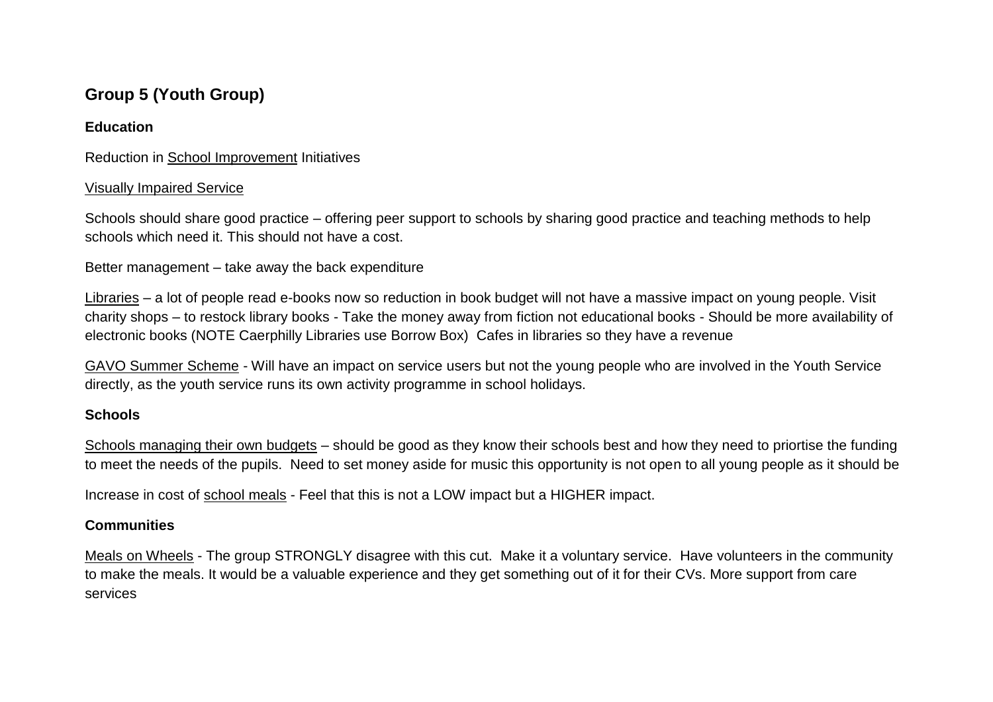# **Group 5 (Youth Group)**

## **Education**

Reduction in School Improvement Initiatives

## Visually Impaired Service

Schools should share good practice – offering peer support to schools by sharing good practice and teaching methods to help schools which need it. This should not have a cost.

Better management – take away the back expenditure

Libraries – a lot of people read e-books now so reduction in book budget will not have a massive impact on young people. Visit charity shops – to restock library books - Take the money away from fiction not educational books - Should be more availability of electronic books (NOTE Caerphilly Libraries use Borrow Box) Cafes in libraries so they have a revenue

GAVO Summer Scheme - Will have an impact on service users but not the young people who are involved in the Youth Service directly, as the youth service runs its own activity programme in school holidays.

## **Schools**

Schools managing their own budgets – should be good as they know their schools best and how they need to priortise the funding to meet the needs of the pupils. Need to set money aside for music this opportunity is not open to all young people as it should be

Increase in cost of school meals - Feel that this is not a LOW impact but a HIGHER impact.

## **Communities**

Meals on Wheels - The group STRONGLY disagree with this cut. Make it a voluntary service. Have volunteers in the community to make the meals. It would be a valuable experience and they get something out of it for their CVs. More support from care services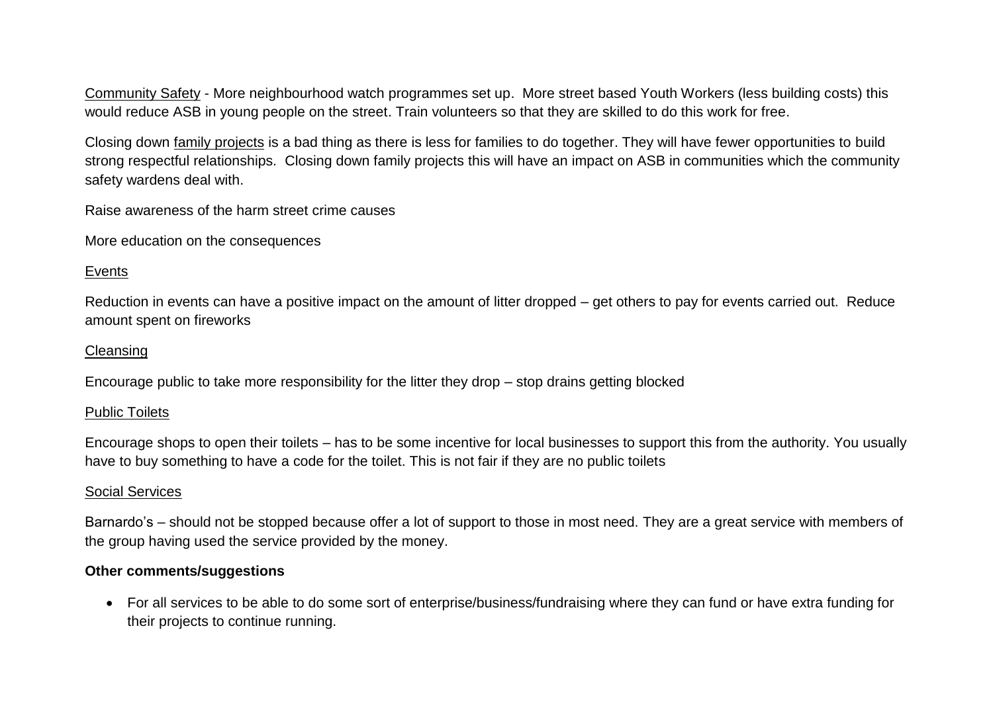Community Safety - More neighbourhood watch programmes set up. More street based Youth Workers (less building costs) this would reduce ASB in young people on the street. Train volunteers so that they are skilled to do this work for free.

Closing down family projects is a bad thing as there is less for families to do together. They will have fewer opportunities to build strong respectful relationships. Closing down family projects this will have an impact on ASB in communities which the community safety wardens deal with.

Raise awareness of the harm street crime causes

More education on the consequences

#### Events

Reduction in events can have a positive impact on the amount of litter dropped – get others to pay for events carried out. Reduce amount spent on fireworks

#### **Cleansing**

Encourage public to take more responsibility for the litter they drop – stop drains getting blocked

#### Public Toilets

Encourage shops to open their toilets – has to be some incentive for local businesses to support this from the authority. You usually have to buy something to have a code for the toilet. This is not fair if they are no public toilets

#### Social Services

Barnardo's – should not be stopped because offer a lot of support to those in most need. They are a great service with members of the group having used the service provided by the money.

#### **Other comments/suggestions**

 For all services to be able to do some sort of enterprise/business/fundraising where they can fund or have extra funding for their projects to continue running.